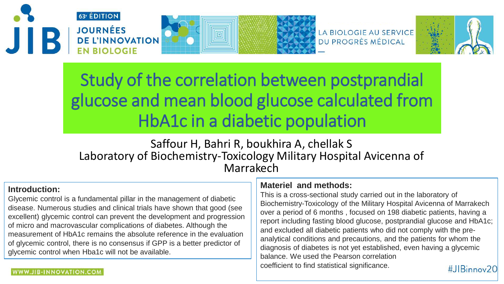

# Study of the correlation between postprandial glucose and mean blood glucose calculated from HbA1c in a diabetic population

# Saffour H, Bahri R, boukhira A, chellak S Laboratory of Biochemistry-Toxicology Military Hospital Avicenna of Marrakech

## **Introduction:**

Glycemic control is a fundamental pillar in the management of diabetic disease. Numerous studies and clinical trials have shown that good (see excellent) glycemic control can prevent the development and progression of micro and macrovascular complications of diabetes. Although the measurement of HbA1c remains the absolute reference in the evaluation of glycemic control, there is no consensus if GPP is a better predictor of glycemic control when Hba1c will not be available.

# **Materiel and methods:**

This is a cross-sectional study carried out in the laboratory of Biochemistry-Toxicology of the Military Hospital Avicenna of Marrakech over a period of 6 months , focused on 198 diabetic patients, having a report including fasting blood glucose, postprandial glucose and HbA1c; and excluded all diabetic patients who did not comply with the preanalytical conditions and precautions, and the patients for whom the diagnosis of diabetes is not yet established, even having a glycemic balance. We used the Pearson correlation coefficient to find statistical significance. #JIBinnov20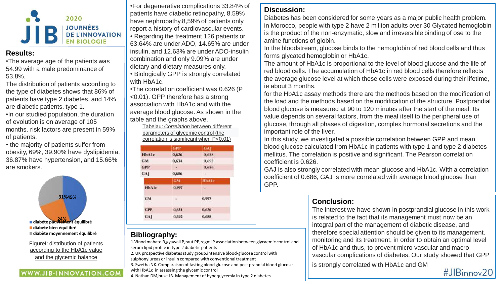

#### **Results:**

•The average age of the patients was 54.99 with a male predominance of 53.8%.

The distribution of patients according to the type of diabetes shows that 86% of patients have type 2 diabetes, and 14% are diabetic patients. type 1.

•In our studied population, the duration of evolution is on average of 105 months. risk factors are present in 59% of patients.

• the majority of patients suffer from obesity, 69%, 39.90% have dyslipidemia, 36.87% have hypertension, and 15.66% are smokers.



FigureI: distribution of patients according to the HbA1c value and the glycemic balance

#### WWW.JIB-INNOVATION.COM

•For degenerative complications 33.84% of patients have diabetic retinopathy, 8.59% have nephropathy.8,59% of patients only report a history of cardiovascular events. • Regarding the treatment 126 patients or 63.64% are under ADO, 14.65% are under insulin, and 12.63% are under ADO-insulin combination and only 9.09% are under dietary and dietary measures only.

• Biologically GPP is strongly correlated with HbA1c.

•The correlation coefficient was 0.626 (P <0.01). GPP therefore has a strong association with HbA1c and with the average blood glucose. As shown in the table and the graphs above.

Tabelau: *Correlation* between different parameters of glycemic control (the correlation is significant when P<0,01)

|              | GPP   | GAI          |
|--------------|-------|--------------|
| <b>HbA1c</b> | 0,626 | 0,688        |
| <b>GM</b>    | 0,634 | 0,692        |
| <b>GPP</b>   |       | 0,686        |
| GAI          | 0,686 | ۰            |
|              | GM    | <b>HbAle</b> |
| HbAlc        | 0,997 |              |
| <b>GM</b>    | w     | 0,997        |
| <b>GPP</b>   | 0,634 | 0,626        |
| GAJ          | 0,692 | 0,688        |

#### **Bibliography:**

1.Vinod mahato R,gyawali P,raut PP,regmi P association between glycaemic control and serum lipid profile in type 2 diabetic patients

2. UK prospective diabetes study group.intensive blood-glucose control with

sulphonylureas or insulin compared with conventional treatment

3. Swetha NK. Comparaison of fasting blood glucose and post prandial blood glucose with HbA1c in assessing the glycemic control

4. Nathan DM,buse JB. Management of hyperglycemia in type 2 diabetes

#### **Discussion:**

Diabetes has been considered for some years as a major public health problem. in Morocco, people with type 2 have 2 million adults over 30 Glycated hemoglobin is the product of the non-enzymatic, slow and irreversible binding of ose to the amine functions of globin.

In the bloodstream, glucose binds to the hemoglobin of red blood cells and thus forms glycated hemoglobin or HbA1c.

The amount of HbA1c is proportional to the level of blood glucose and the life of red blood cells. The accumulation of HbA1c in red blood cells therefore reflects the average glucose level at which these cells were exposed during their lifetime, ie about 3 months.

for the HbA1c assay methods there are the methods based on the modification of the load and the methods based on the modification of the structure. Postprandial blood glucose is measured at 90 to 120 minutes after the start of the meal. Its value depends on several factors, from the meal itself to the peripheral use of glucose, through all phases of digestion, complex hormonal secretions and the important role of the liver.

In this study, we investigated a possible correlation between GPP and mean blood glucose calculated from HbA1c in patients with type 1 and type 2 diabetes mellitus. The correlation is positive and significant. The Pearson correlation coefficient is 0.626.

GAJ is also strongly correlated with mean glucose and HbA1c. With a correlation coefficient of 0.686, GAJ is more correlated with average blood glucose than GPP.

## **Conclusion:**

The interest we have shown in postprandial glucose in this work is related to the fact that its management must now be an integral part of the management of diabetic disease, and therefore special attention should be given to its management. monitoring and its treatment, in order to obtain an optimal level of HbA1c and thus, to prevent micro vascular and macro vascular complications of diabetes. Our study showed that GPP

is strongly correlated with HbA1c and GM

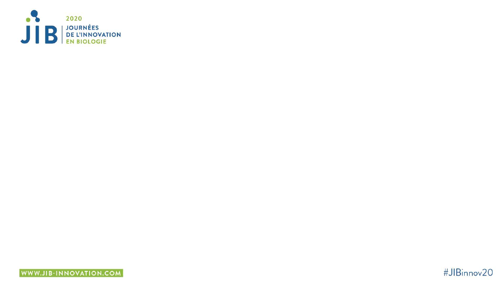

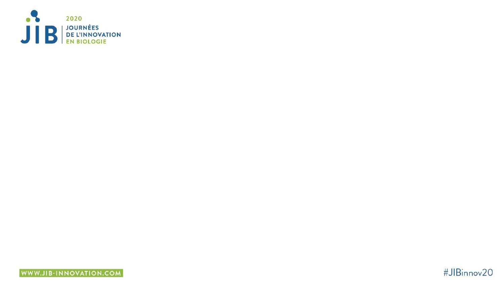